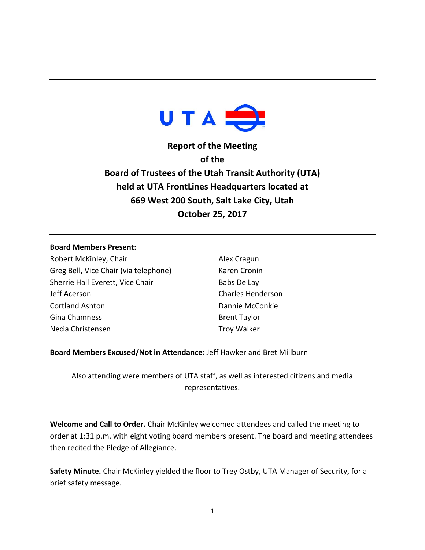

**Report of the Meeting of the Board of Trustees of the Utah Transit Authority (UTA) held at UTA FrontLines Headquarters located at 669 West 200 South, Salt Lake City, Utah October 25, 2017**

## **Board Members Present:**

Robert McKinley, Chair Greg Bell, Vice Chair (via telephone) Sherrie Hall Everett, Vice Chair Jeff Acerson Cortland Ashton Gina Chamness Necia Christensen

Alex Cragun Karen Cronin Babs De Lay Charles Henderson Dannie McConkie Brent Taylor Troy Walker

**Board Members Excused/Not in Attendance:** Jeff Hawker and Bret Millburn

Also attending were members of UTA staff, as well as interested citizens and media representatives.

**Welcome and Call to Order.** Chair McKinley welcomed attendees and called the meeting to order at 1:31 p.m. with eight voting board members present. The board and meeting attendees then recited the Pledge of Allegiance.

**Safety Minute.** Chair McKinley yielded the floor to Trey Ostby, UTA Manager of Security, for a brief safety message.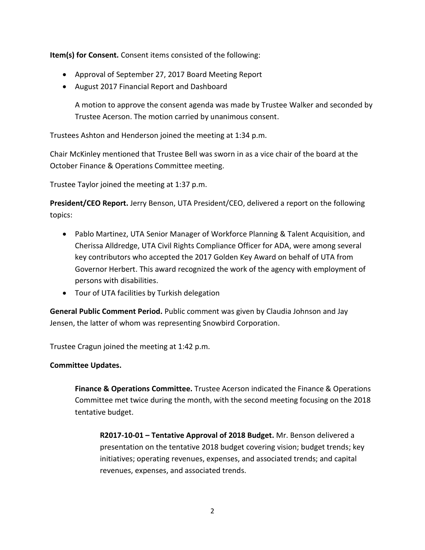**Item(s) for Consent.** Consent items consisted of the following:

- Approval of September 27, 2017 Board Meeting Report
- August 2017 Financial Report and Dashboard

A motion to approve the consent agenda was made by Trustee Walker and seconded by Trustee Acerson. The motion carried by unanimous consent.

Trustees Ashton and Henderson joined the meeting at 1:34 p.m.

Chair McKinley mentioned that Trustee Bell was sworn in as a vice chair of the board at the October Finance & Operations Committee meeting.

Trustee Taylor joined the meeting at 1:37 p.m.

**President/CEO Report.** Jerry Benson, UTA President/CEO, delivered a report on the following topics:

- Pablo Martinez, UTA Senior Manager of Workforce Planning & Talent Acquisition, and Cherissa Alldredge, UTA Civil Rights Compliance Officer for ADA, were among several key contributors who accepted the 2017 Golden Key Award on behalf of UTA from Governor Herbert. This award recognized the work of the agency with employment of persons with disabilities.
- Tour of UTA facilities by Turkish delegation

**General Public Comment Period.** Public comment was given by Claudia Johnson and Jay Jensen, the latter of whom was representing Snowbird Corporation.

Trustee Cragun joined the meeting at 1:42 p.m.

## **Committee Updates.**

**Finance & Operations Committee.** Trustee Acerson indicated the Finance & Operations Committee met twice during the month, with the second meeting focusing on the 2018 tentative budget.

**R2017-10-01 – Tentative Approval of 2018 Budget.** Mr. Benson delivered a presentation on the tentative 2018 budget covering vision; budget trends; key initiatives; operating revenues, expenses, and associated trends; and capital revenues, expenses, and associated trends.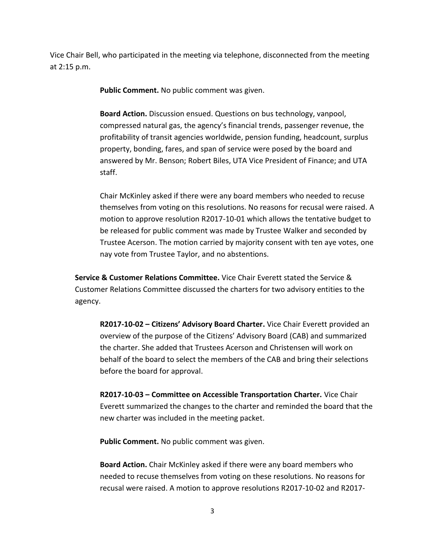Vice Chair Bell, who participated in the meeting via telephone, disconnected from the meeting at 2:15 p.m.

**Public Comment.** No public comment was given.

**Board Action.** Discussion ensued. Questions on bus technology, vanpool, compressed natural gas, the agency's financial trends, passenger revenue, the profitability of transit agencies worldwide, pension funding, headcount, surplus property, bonding, fares, and span of service were posed by the board and answered by Mr. Benson; Robert Biles, UTA Vice President of Finance; and UTA staff.

Chair McKinley asked if there were any board members who needed to recuse themselves from voting on this resolutions. No reasons for recusal were raised. A motion to approve resolution R2017-10-01 which allows the tentative budget to be released for public comment was made by Trustee Walker and seconded by Trustee Acerson. The motion carried by majority consent with ten aye votes, one nay vote from Trustee Taylor, and no abstentions.

**Service & Customer Relations Committee.** Vice Chair Everett stated the Service & Customer Relations Committee discussed the charters for two advisory entities to the agency.

**R2017-10-02 – Citizens' Advisory Board Charter.** Vice Chair Everett provided an overview of the purpose of the Citizens' Advisory Board (CAB) and summarized the charter. She added that Trustees Acerson and Christensen will work on behalf of the board to select the members of the CAB and bring their selections before the board for approval.

**R2017-10-03 – Committee on Accessible Transportation Charter.** Vice Chair Everett summarized the changes to the charter and reminded the board that the new charter was included in the meeting packet.

**Public Comment.** No public comment was given.

**Board Action.** Chair McKinley asked if there were any board members who needed to recuse themselves from voting on these resolutions. No reasons for recusal were raised. A motion to approve resolutions R2017-10-02 and R2017-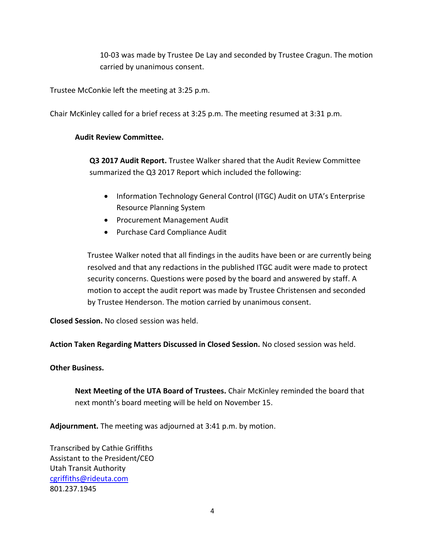10-03 was made by Trustee De Lay and seconded by Trustee Cragun. The motion carried by unanimous consent.

Trustee McConkie left the meeting at 3:25 p.m.

Chair McKinley called for a brief recess at 3:25 p.m. The meeting resumed at 3:31 p.m.

## **Audit Review Committee.**

**Q3 2017 Audit Report.** Trustee Walker shared that the Audit Review Committee summarized the Q3 2017 Report which included the following:

- Information Technology General Control (ITGC) Audit on UTA's Enterprise Resource Planning System
- Procurement Management Audit
- Purchase Card Compliance Audit

Trustee Walker noted that all findings in the audits have been or are currently being resolved and that any redactions in the published ITGC audit were made to protect security concerns. Questions were posed by the board and answered by staff. A motion to accept the audit report was made by Trustee Christensen and seconded by Trustee Henderson. The motion carried by unanimous consent.

**Closed Session.** No closed session was held.

**Action Taken Regarding Matters Discussed in Closed Session.** No closed session was held.

## **Other Business.**

**Next Meeting of the UTA Board of Trustees.** Chair McKinley reminded the board that next month's board meeting will be held on November 15.

**Adjournment.** The meeting was adjourned at 3:41 p.m. by motion.

Transcribed by Cathie Griffiths Assistant to the President/CEO Utah Transit Authority [cgriffiths@rideuta.com](mailto:cgriffiths@rideuta.com) 801.237.1945